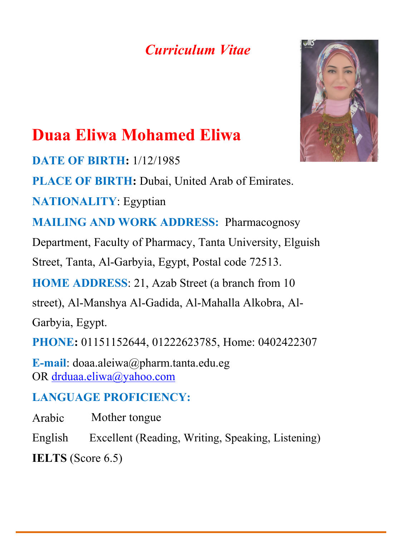## *Curriculum Vitae*



# **Duaa Eliwa Mohamed Eliwa**

**DATE OF BIRTH:** 1/12/1985

**PLACE OF BIRTH:** Dubai, United Arab of Emirates.

**NATIONALITY**: Egyptian

**MAILING AND WORK ADDRESS:** Pharmacognosy

Department, Faculty of Pharmacy, Tanta University, Elguish

Street, Tanta, Al-Garbyia, Egypt, Postal code 72513.

**HOME ADDRESS**: 21, Azab Street (a branch from 10

street), Al-Manshya Al-Gadida, Al-Mahalla Alkobra, Al-

Garbyia, Egypt.

**PHONE:** 01151152644, 01222623785, Home: 0402422307

**E-mail**: doaa.aleiwa@pharm.tanta.edu.eg OR [drduaa.eliwa@yahoo.com](mailto:drduaa.eliwa@yahoo.com)

### **LANGUAGE PROFICIENCY:**

Arabic Mother tongue

English Excellent (Reading, Writing, Speaking, Listening)

**IELTS** (Score 6.5)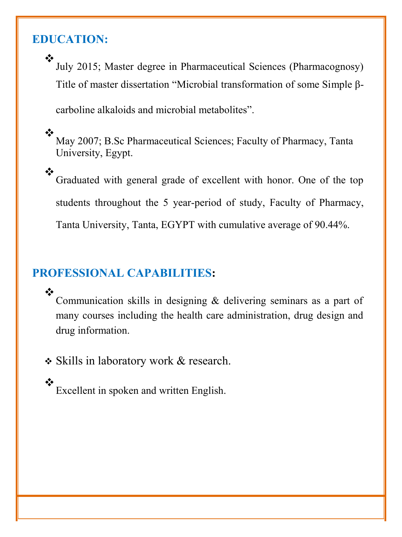#### **EDUCATION:**

 $\cdot$ July 2015; Master degree in Pharmaceutical Sciences (Pharmacognosy) Title of master dissertation "Microbial transformation of some Simple β-

carboline alkaloids and microbial metabolites".

 $\frac{1}{2}$ May 2007; B.Sc Pharmaceutical Sciences; Faculty of Pharmacy, Tanta University, Egypt.

 $\bullet^{\bullet}_{\Delta} \bullet$ Graduated with general grade of excellent with honor. One of the top students throughout the 5 year-period of study, Faculty of Pharmacy, Tanta University, Tanta, EGYPT with cumulative average of 90.44%.

#### **PROFESSIONAL CAPABILITIES:**

 $\frac{1}{2}$ Communication skills in designing & delivering seminars as a part of many courses including the health care administration, drug design and drug information.

• Skills in laboratory work & research.

❖ Excellent in spoken and written English.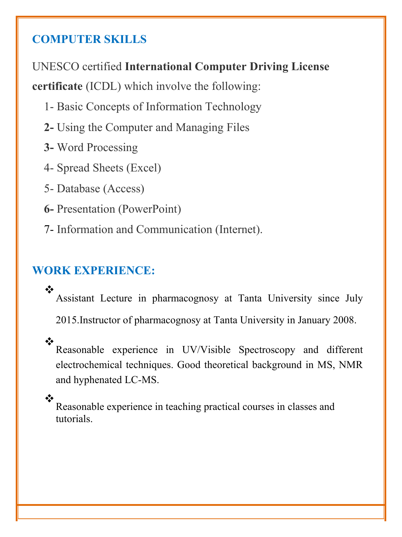#### **COMPUTER SKILLS**

UNESCO certified **International Computer Driving License**

**certificate** (ICDL) which involve the following:

- 1- Basic Concepts of Information Technology
- **2-** Using the Computer and Managing Files
- **3-** Word Processing
- 4- Spread Sheets (Excel)
- 5- Database (Access)
- **6-** Presentation (PowerPoint)
- 7- Information and Communication (Internet).

#### **WORK EXPERIENCE:**

❖ Assistant Lecture in pharmacognosy at Tanta University since July 2015.Instructor of pharmacognosy at Tanta University in January 2008.

 $\frac{1}{2}$ Reasonable experience in UV/Visible Spectroscopy and different electrochemical techniques. Good theoretical background in MS, NMR and hyphenated LC-MS.

 $\frac{1}{2}$ Reasonable experience in teaching practical courses in classes and tutorials.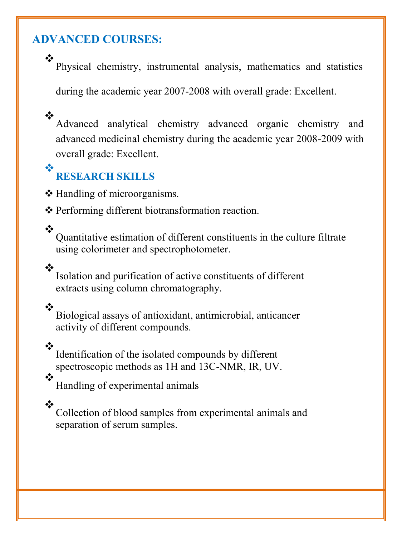#### **ADVANCED COURSES:**

 $\frac{1}{2}$ 

 $\frac{1}{2}$ 

 $\mathbf{L}$ 

 $\frac{1}{2}$ 

❖

 $\cdot$ 

Physical chemistry, instrumental analysis, mathematics and statistics

during the academic year 2007-2008 with overall grade: Excellent.

Advanced analytical chemistry advanced organic chemistry and advanced medicinal chemistry during the academic year 2008-2009 with overall grade: Excellent.

#### $\frac{1}{2}$ **RESEARCH SKILLS**

Handling of microorganisms.

Performing different biotransformation reaction.

Quantitative estimation of different constituents in the culture filtrate using colorimeter and spectrophotometer.

Isolation and purification of active constituents of different extracts using column chromatography.

Biological assays of antioxidant, antimicrobial, anticancer activity of different compounds.

Identification of the isolated compounds by different spectroscopic methods as 1H and 13C-NMR, IR, UV.

 $\cdot$ Handling of experimental animals

❖

Collection of blood samples from experimental animals and separation of serum samples.